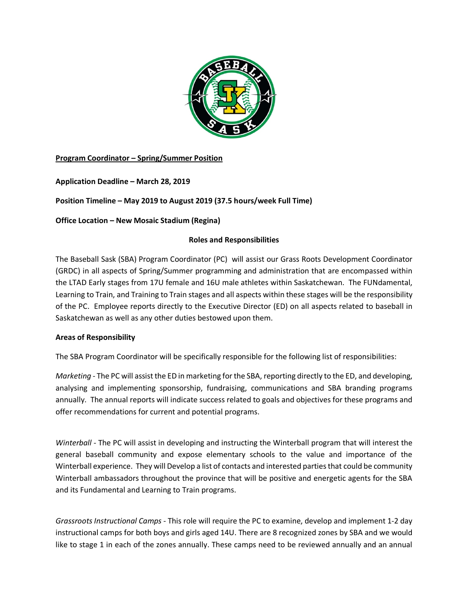

# **Program Coordinator – Spring/Summer Position**

**Application Deadline – March 28, 2019**

# **Position Timeline – May 2019 to August 2019 (37.5 hours/week Full Time)**

**Office Location – New Mosaic Stadium (Regina)**

## **Roles and Responsibilities**

The Baseball Sask (SBA) Program Coordinator (PC) will assist our Grass Roots Development Coordinator (GRDC) in all aspects of Spring/Summer programming and administration that are encompassed within the LTAD Early stages from 17U female and 16U male athletes within Saskatchewan. The FUNdamental, Learning to Train, and Training to Train stages and all aspects within these stages will be the responsibility of the PC. Employee reports directly to the Executive Director (ED) on all aspects related to baseball in Saskatchewan as well as any other duties bestowed upon them.

## **Areas of Responsibility**

The SBA Program Coordinator will be specifically responsible for the following list of responsibilities:

*Marketing -* The PC will assist the ED in marketing for the SBA, reporting directly to the ED, and developing, analysing and implementing sponsorship, fundraising, communications and SBA branding programs annually. The annual reports will indicate success related to goals and objectives for these programs and offer recommendations for current and potential programs.

*Winterball -* The PC will assist in developing and instructing the Winterball program that will interest the general baseball community and expose elementary schools to the value and importance of the Winterball experience. They will Develop a list of contacts and interested parties that could be community Winterball ambassadors throughout the province that will be positive and energetic agents for the SBA and its Fundamental and Learning to Train programs.

*Grassroots Instructional Camps -* This role will require the PC to examine, develop and implement 1-2 day instructional camps for both boys and girls aged 14U. There are 8 recognized zones by SBA and we would like to stage 1 in each of the zones annually. These camps need to be reviewed annually and an annual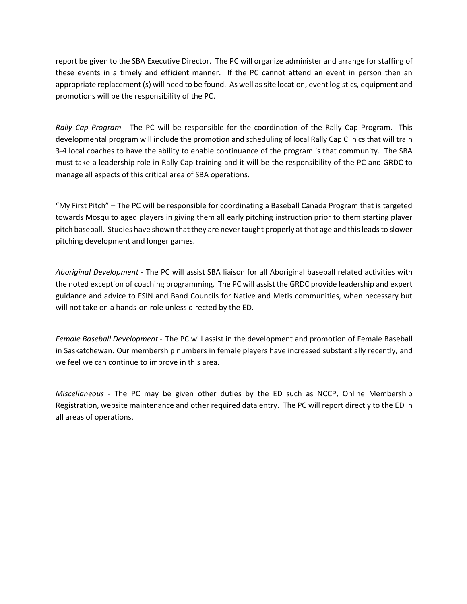report be given to the SBA Executive Director. The PC will organize administer and arrange for staffing of these events in a timely and efficient manner. If the PC cannot attend an event in person then an appropriate replacement (s) will need to be found. As well as site location, event logistics, equipment and promotions will be the responsibility of the PC.

*Rally Cap Program -* The PC will be responsible for the coordination of the Rally Cap Program. This developmental program will include the promotion and scheduling of local Rally Cap Clinics that will train 3-4 local coaches to have the ability to enable continuance of the program is that community. The SBA must take a leadership role in Rally Cap training and it will be the responsibility of the PC and GRDC to manage all aspects of this critical area of SBA operations.

"My First Pitch" – The PC will be responsible for coordinating a Baseball Canada Program that is targeted towards Mosquito aged players in giving them all early pitching instruction prior to them starting player pitch baseball. Studies have shown that they are never taught properly at that age and this leads to slower pitching development and longer games.

*Aboriginal Development -* The PC will assist SBA liaison for all Aboriginal baseball related activities with the noted exception of coaching programming. The PC will assist the GRDC provide leadership and expert guidance and advice to FSIN and Band Councils for Native and Metis communities, when necessary but will not take on a hands-on role unless directed by the ED.

*Female Baseball Development -* The PC will assist in the development and promotion of Female Baseball in Saskatchewan. Our membership numbers in female players have increased substantially recently, and we feel we can continue to improve in this area.

*Miscellaneous -* The PC may be given other duties by the ED such as NCCP, Online Membership Registration, website maintenance and other required data entry. The PC will report directly to the ED in all areas of operations.